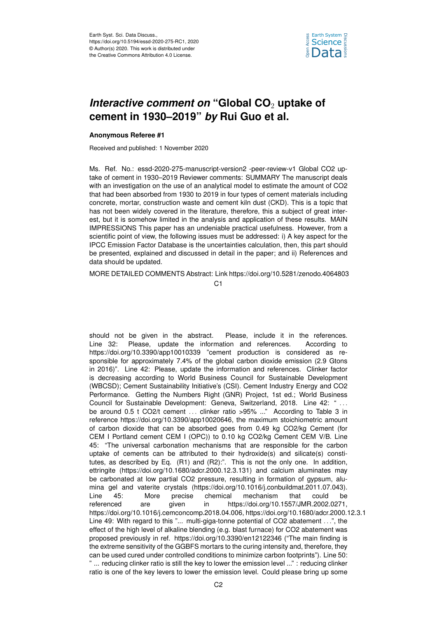

## *Interactive comment on "Global CO<sub>2</sub> uptake of* **cement in 1930–2019"** *by* **Rui Guo et al.**

## **Anonymous Referee #1**

Received and published: 1 November 2020

Ms. Ref. No.: essd-2020-275-manuscript-version2 -peer-review-v1 Global CO2 uptake of cement in 1930–2019 Reviewer comments: SUMMARY The manuscript deals with an investigation on the use of an analytical model to estimate the amount of CO2 that had been absorbed from 1930 to 2019 in four types of cement materials including concrete, mortar, construction waste and cement kiln dust (CKD). This is a topic that has not been widely covered in the literature, therefore, this a subject of great interest, but it is somehow limited in the analysis and application of these results. MAIN IMPRESSIONS This paper has an undeniable practical usefulness. However, from a scientific point of view, the following issues must be addressed: i) A key aspect for the IPCC Emission Factor Database is the uncertainties calculation, then, this part should be presented, explained and discussed in detail in the paper; and ii) References and data should be updated.

MORE DETAILED COMMENTS Abstract: Link https://doi.org/10.5281/zenodo.4064803

 $C<sub>1</sub>$ 

should not be given in the abstract. Please, include it in the references. Line 32: Please, update the information and references. According to https://doi.org/10.3390/app10010339 "cement production is considered as responsible for approximately 7.4% of the global carbon dioxide emission (2.9 Gtons in 2016)". Line 42: Please, update the information and references. Clinker factor is decreasing according to World Business Council for Sustainable Development (WBCSD); Cement Sustainability Initiative's (CSI). Cement Industry Energy and CO2 Performance. Getting the Numbers Right (GNR) Project, 1st ed.; World Business Council for Sustainable Development: Geneva, Switzerland, 2018. Line 42: " ... be around 0.5 t CO2/t cement ... clinker ratio >95% ..." According to Table 3 in reference https://doi.org/10.3390/app10020646, the maximum stoichiometric amount of carbon dioxide that can be absorbed goes from 0.49 kg CO2/kg Cement (for CEM I Portland cement CEM I (OPC)) to 0.10 kg CO2/kg Cement CEM V/B. Line 45: "The universal carbonation mechanisms that are responsible for the carbon uptake of cements can be attributed to their hydroxide(s) and silicate(s) constitutes, as described by Eq. (R1) and (R2):". This is not the only one. In addition, ettringite (https://doi.org/10.1680/adcr.2000.12.3.131) and calcium aluminates may be carbonated at low partial CO2 pressure, resulting in formation of gypsum, alumina gel and vaterite crystals (https://doi.org/10.1016/j.conbuildmat.2011.07.043). Line 45: More precise chemical mechanism that could be referenced are given in https://doi.org/10.1557/JMR.2002.0271, https://doi.org/10.1016/j.cemconcomp.2018.04.006, https://doi.org/10.1680/adcr.2000.12.3.1 Line 49: With regard to this "... multi-giga-tonne potential of CO2 abatement ...", the effect of the high level of alkaline blending (e.g. blast furnace) for CO2 abatement was proposed previously in ref. https://doi.org/10.3390/en12122346 ("The main finding is the extreme sensitivity of the GGBFS mortars to the curing intensity and, therefore, they can be used cured under controlled conditions to minimize carbon footprints"). Line 50: " ... reducing clinker ratio is still the key to lower the emission level ..." : reducing clinker ratio is one of the key levers to lower the emission level. Could please bring up some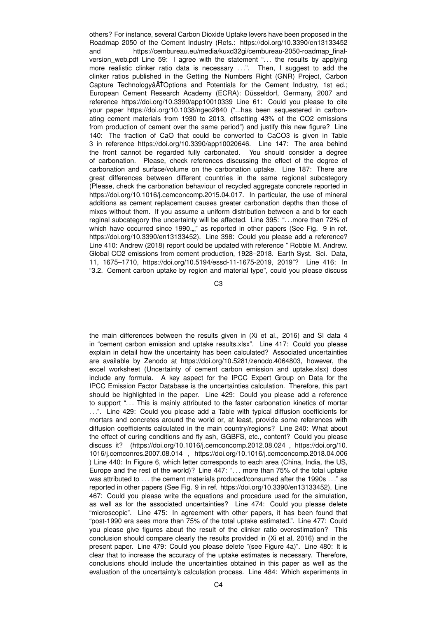others? For instance, several Carbon Dioxide Uptake levers have been proposed in the Roadmap 2050 of the Cement Industry (Refs.: https://doi.org/10.3390/en13133452 and https://cembureau.eu/media/kuxd32gi/cembureau-2050-roadmap\_finalversion web.pdf Line 59: I agree with the statement "... the results by applying more realistic clinker ratio data is necessary ...". Then, I suggest to add the clinker ratios published in the Getting the Numbers Right (GNR) Project, Carbon Capture TechnologyâATOptions and Potentials for the Cement Industry, 1st ed.; European Cement Research Academy (ECRA): Düsseldorf, Germany, 2007 and reference https://doi.org/10.3390/app10010339 Line 61: Could you please to cite your paper https://doi.org/10.1038/ngeo2840 ("...has been sequestered in carbonating cement materials from 1930 to 2013, offsetting 43% of the CO2 emissions from production of cement over the same period") and justify this new figure? Line 140: The fraction of CaO that could be converted to CaCO3 is given in Table 3 in reference https://doi.org/10.3390/app10020646. Line 147: The area behind the front cannot be regarded fully carbonated. You should consider a degree of carbonation. Please, check references discussing the effect of the degree of carbonation and surface/volume on the carbonation uptake. Line 187: There are great differences between different countries in the same regional subcategory (Please, check the carbonation behaviour of recycled aggregate concrete reported in https://doi.org/10.1016/j.cemconcomp.2015.04.017. In particular, the use of mineral additions as cement replacement causes greater carbonation depths than those of mixes without them. If you assume a uniform distribution between a and b for each reginal subcategory the uncertainty will be affected. Line 395: ". . .more than 72% of which have occurred since 1990..," as reported in other papers (See Fig. 9 in ref. https://doi.org/10.3390/en13133452). Line 398: Could you please add a reference? Line 410: Andrew (2018) report could be updated with reference " Robbie M. Andrew. Global CO2 emissions from cement production, 1928–2018. Earth Syst. Sci. Data, 11, 1675–1710, https://doi.org/10.5194/essd-11-1675-2019, 2019"? Line 416: In "3.2. Cement carbon uptake by region and material type", could you please discuss

C3

the main differences between the results given in (Xi et al., 2016) and SI data 4 in "cement carbon emission and uptake results.xlsx". Line 417: Could you please explain in detail how the uncertainty has been calculated? Associated uncertainties are available by Zenodo at https://doi.org/10.5281/zenodo.4064803, however, the excel worksheet (Uncertainty of cement carbon emission and uptake.xlsx) does include any formula. A key aspect for the IPCC Expert Group on Data for the IPCC Emission Factor Database is the uncertainties calculation. Therefore, this part should be highlighted in the paper. Line 429: Could you please add a reference to support ". . . This is mainly attributed to the faster carbonation kinetics of mortar . . .". Line 429: Could you please add a Table with typical diffusion coefficients for mortars and concretes around the world or, at least, provide some references with diffusion coefficients calculated in the main country/regions? Line 240: What about the effect of curing conditions and fly ash, GGBFS, etc., content? Could you please discuss it? (https://doi.org/10.1016/j.cemconcomp.2012.08.024 , https://doi.org/10. 1016/j.cemconres.2007.08.014 , https://doi.org/10.1016/j.cemconcomp.2018.04.006 ) Line 440: In Figure 6, which letter corresponds to each area (China, India, the US, Europe and the rest of the world)? Line 447: ". . . more than 75% of the total uptake was attributed to . . . the cement materials produced/consumed after the 1990s . . ." as reported in other papers (See Fig. 9 in ref. https://doi.org/10.3390/en13133452). Line 467: Could you please write the equations and procedure used for the simulation, as well as for the associated uncertainties? Line 474: Could you please delete "microscopic". Line 475: In agreement with other papers, it has been found that "post-1990 era sees more than 75% of the total uptake estimated.". Line 477: Could you please give figures about the result of the clinker ratio overestimation? This conclusion should compare clearly the results provided in (Xi et al, 2016) and in the present paper. Line 479: Could you please delete "(see Figure 4a)". Line 480: It is clear that to increase the accuracy of the uptake estimates is necessary. Therefore, conclusions should include the uncertainties obtained in this paper as well as the evaluation of the uncertainty's calculation process. Line 484: Which experiments in